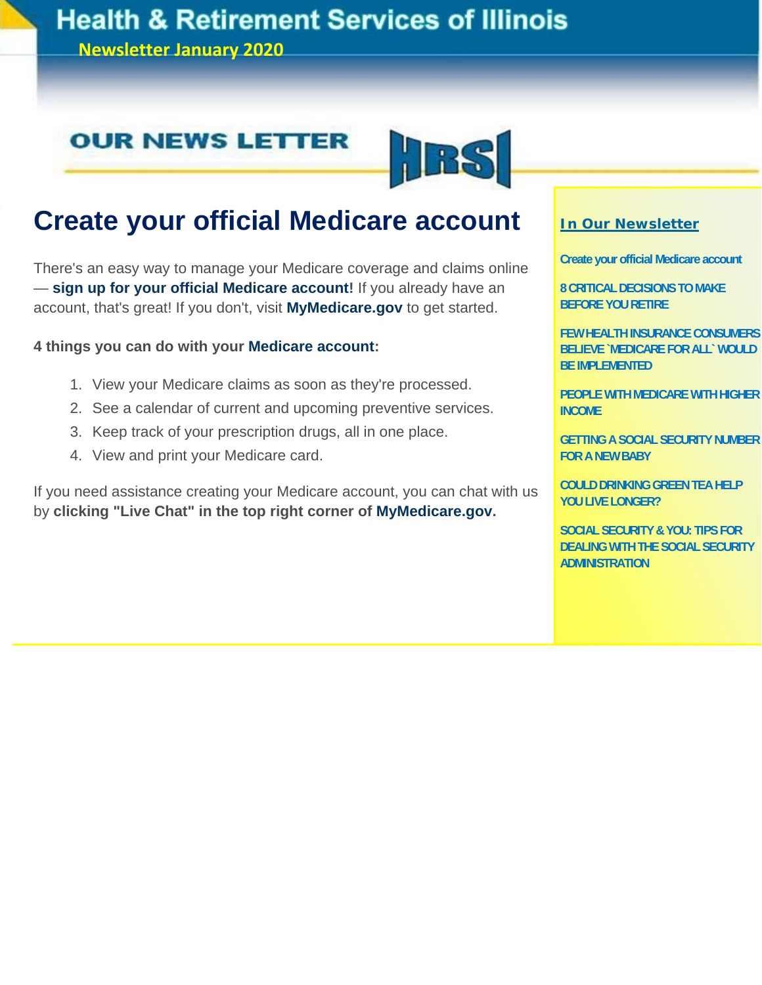# **Health & Retirement Services of Illinois**

**Newsletter January 2020**

### **OUR NEWS LETTER**



# **Create your official Medicare account**

There's an easy way to manage your Medicare coverage and claims online — **sign up for your official Medicare account!** If you already have an account, that's great! If you don't, visit **MyMedicare.gov** to get started.

### **4 things you can do with your Medicare account:**

- 1. View your Medicare claims as soon as they're processed.
- 2. See a calendar of current and upcoming preventive services.
- 3. Keep track of your prescription drugs, all in one place.
- 4. View and print your Medicare card.

If you need assistance creating your Medicare account, you can chat with us by **clicking "Live Chat" in the top right corner of MyMedicare.gov.**

### **In Our Newsletter**

**Create your official Medicare account** 

**8 CRITICAL DECISIONS TO MAKE BEFORE YOU RETIRE** 

**FEW HEALTH INSURANCE CONSUMERS BELIEVE `MEDICARE FOR ALL` WOULD BE IMPLEMENTED** 

**PEOPLE WITH MEDICARE WITH HIGHER INCOME** 

**GETTING A SOCIAL SECURITY NUMBER FOR A NEW BABY** 

**COULD DRINKING GREEN TEA HELP YOU LIVE LONGER?** 

**SOCIAL SECURITY & YOU: TIPS FOR DEALING WITH THE SOCIAL SECURITY ADMINISTRATION**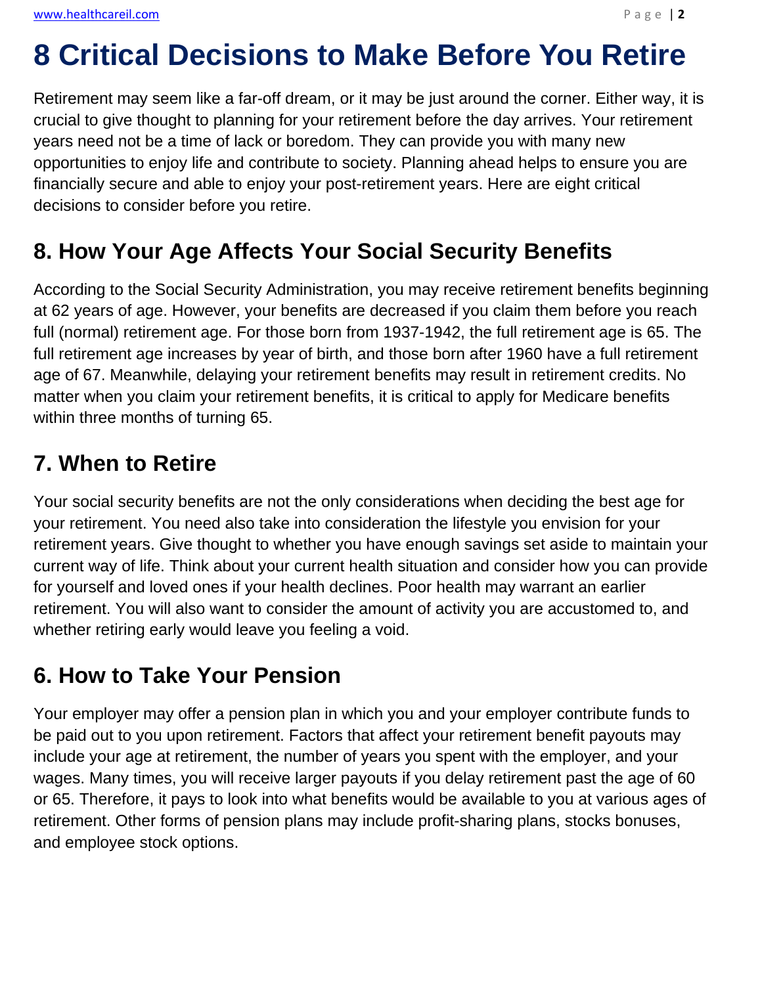# **8 Critical Decisions to Make Before You Retire**

Retirement may seem like a far-off dream, or it may be just around the corner. Either way, it is crucial to give thought to planning for your retirement before the day arrives. Your retirement years need not be a time of lack or boredom. They can provide you with many new opportunities to enjoy life and contribute to society. Planning ahead helps to ensure you are financially secure and able to enjoy your post-retirement years. Here are eight critical decisions to consider before you retire.

### **8. How Your Age Affects Your Social Security Benefits**

According to the Social Security Administration, you may receive retirement benefits beginning at 62 years of age. However, your benefits are decreased if you claim them before you reach full (normal) retirement age. For those born from 1937-1942, the full retirement age is 65. The full retirement age increases by year of birth, and those born after 1960 have a full retirement age of 67. Meanwhile, delaying your retirement benefits may result in retirement credits. No matter when you claim your retirement benefits, it is critical to apply for Medicare benefits within three months of turning 65.

### **7. When to Retire**

Your social security benefits are not the only considerations when deciding the best age for your retirement. You need also take into consideration the lifestyle you envision for your retirement years. Give thought to whether you have enough savings set aside to maintain your current way of life. Think about your current health situation and consider how you can provide for yourself and loved ones if your health declines. Poor health may warrant an earlier retirement. You will also want to consider the amount of activity you are accustomed to, and whether retiring early would leave you feeling a void.

### **6. How to Take Your Pension**

Your employer may offer a pension plan in which you and your employer contribute funds to be paid out to you upon retirement. Factors that affect your retirement benefit payouts may include your age at retirement, the number of years you spent with the employer, and your wages. Many times, you will receive larger payouts if you delay retirement past the age of 60 or 65. Therefore, it pays to look into what benefits would be available to you at various ages of retirement. Other forms of pension plans may include profit-sharing plans, stocks bonuses, and employee stock options.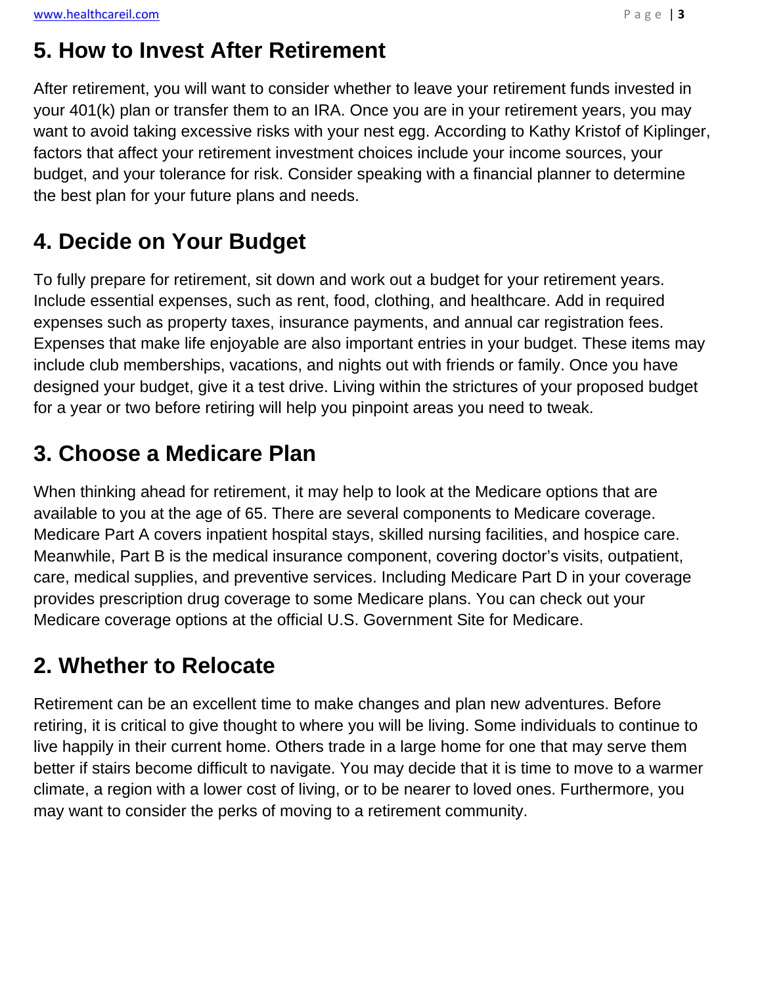## **5. How to Invest After Retirement**

After retirement, you will want to consider whether to leave your retirement funds invested in your 401(k) plan or transfer them to an IRA. Once you are in your retirement years, you may want to avoid taking excessive risks with your nest egg. According to Kathy Kristof of Kiplinger, factors that affect your retirement investment choices include your income sources, your budget, and your tolerance for risk. Consider speaking with a financial planner to determine the best plan for your future plans and needs.

# **4. Decide on Your Budget**

To fully prepare for retirement, sit down and work out a budget for your retirement years. Include essential expenses, such as rent, food, clothing, and healthcare. Add in required expenses such as property taxes, insurance payments, and annual car registration fees. Expenses that make life enjoyable are also important entries in your budget. These items may include club memberships, vacations, and nights out with friends or family. Once you have designed your budget, give it a test drive. Living within the strictures of your proposed budget for a year or two before retiring will help you pinpoint areas you need to tweak.

# **3. Choose a Medicare Plan**

When thinking ahead for retirement, it may help to look at the Medicare options that are available to you at the age of 65. There are several components to Medicare coverage. Medicare Part A covers inpatient hospital stays, skilled nursing facilities, and hospice care. Meanwhile, Part B is the medical insurance component, covering doctor's visits, outpatient, care, medical supplies, and preventive services. Including Medicare Part D in your coverage provides prescription drug coverage to some Medicare plans. You can check out your Medicare coverage options at the official U.S. Government Site for Medicare.

# **2. Whether to Relocate**

Retirement can be an excellent time to make changes and plan new adventures. Before retiring, it is critical to give thought to where you will be living. Some individuals to continue to live happily in their current home. Others trade in a large home for one that may serve them better if stairs become difficult to navigate. You may decide that it is time to move to a warmer climate, a region with a lower cost of living, or to be nearer to loved ones. Furthermore, you may want to consider the perks of moving to a retirement community.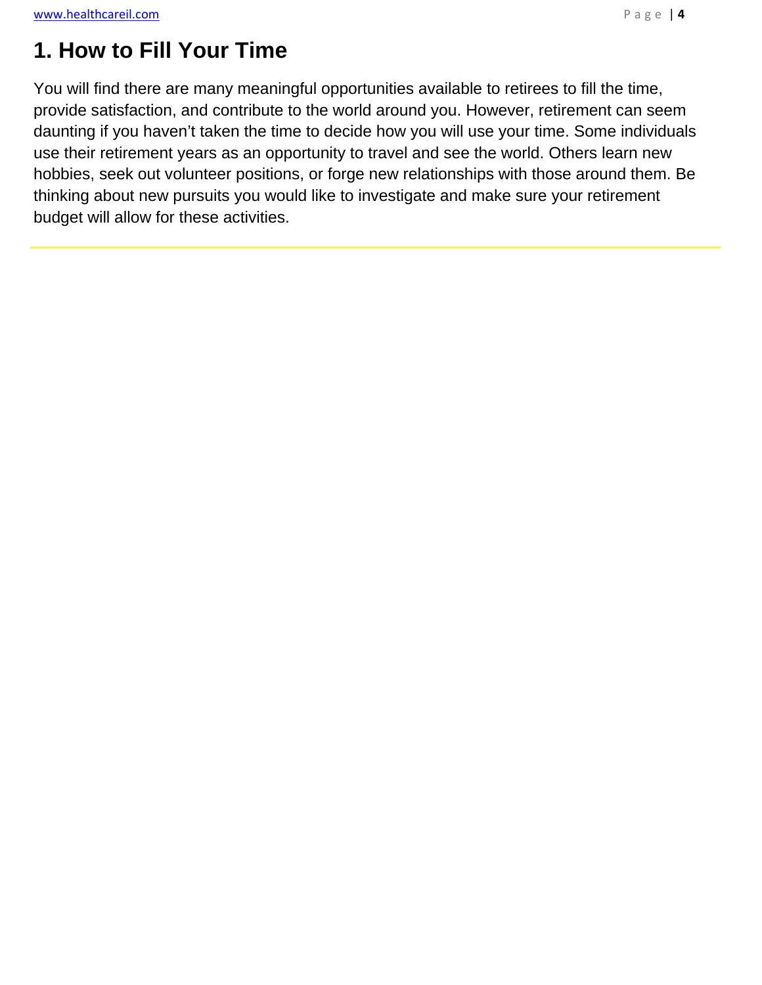## **1. How to Fill Your Time**

You will find there are many meaningful opportunities available to retirees to fill the time, provide satisfaction, and contribute to the world around you. However, retirement can seem daunting if you haven't taken the time to decide how you will use your time. Some individuals use their retirement years as an opportunity to travel and see the world. Others learn new hobbies, seek out volunteer positions, or forge new relationships with those around them. Be thinking about new pursuits you would like to investigate and make sure your retirement budget will allow for these activities.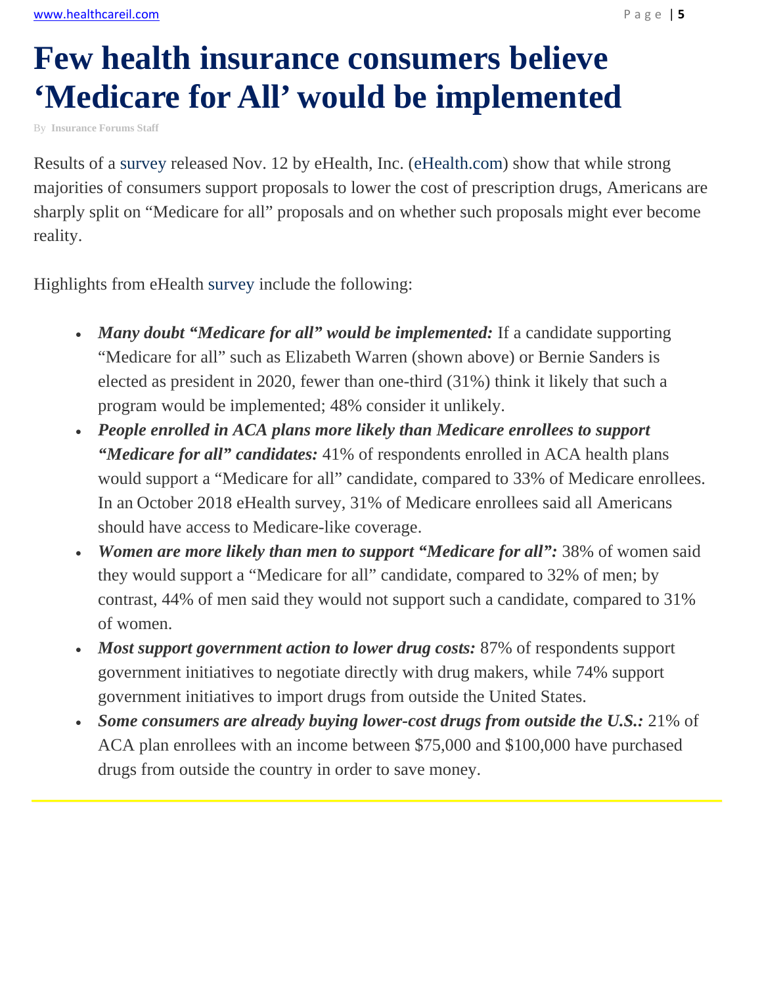# **Few health insurance consumers believe 'Medicare for All' would be implemented**

By **Insurance Forums Staff**

Results of a survey released Nov. 12 by eHealth, Inc. (eHealth.com) show that while strong majorities of consumers support proposals to lower the cost of prescription drugs, Americans are sharply split on "Medicare for all" proposals and on whether such proposals might ever become reality.

Highlights from eHealth survey include the following:

- *Many doubt "Medicare for all" would be implemented:* If a candidate supporting "Medicare for all" such as Elizabeth Warren (shown above) or Bernie Sanders is elected as president in 2020, fewer than one-third (31%) think it likely that such a program would be implemented; 48% consider it unlikely.
- *People enrolled in ACA plans more likely than Medicare enrollees to support "Medicare for all" candidates:* 41% of respondents enrolled in ACA health plans would support a "Medicare for all" candidate, compared to 33% of Medicare enrollees. In an October 2018 eHealth survey, 31% of Medicare enrollees said all Americans should have access to Medicare-like coverage.
- *Women are more likely than men to support "Medicare for all":* 38% of women said they would support a "Medicare for all" candidate, compared to 32% of men; by contrast, 44% of men said they would not support such a candidate, compared to 31% of women.
- *Most support government action to lower drug costs:* 87% of respondents support government initiatives to negotiate directly with drug makers, while 74% support government initiatives to import drugs from outside the United States.
- *Some consumers are already buying lower-cost drugs from outside the U.S.:* 21% of ACA plan enrollees with an income between \$75,000 and \$100,000 have purchased drugs from outside the country in order to save money.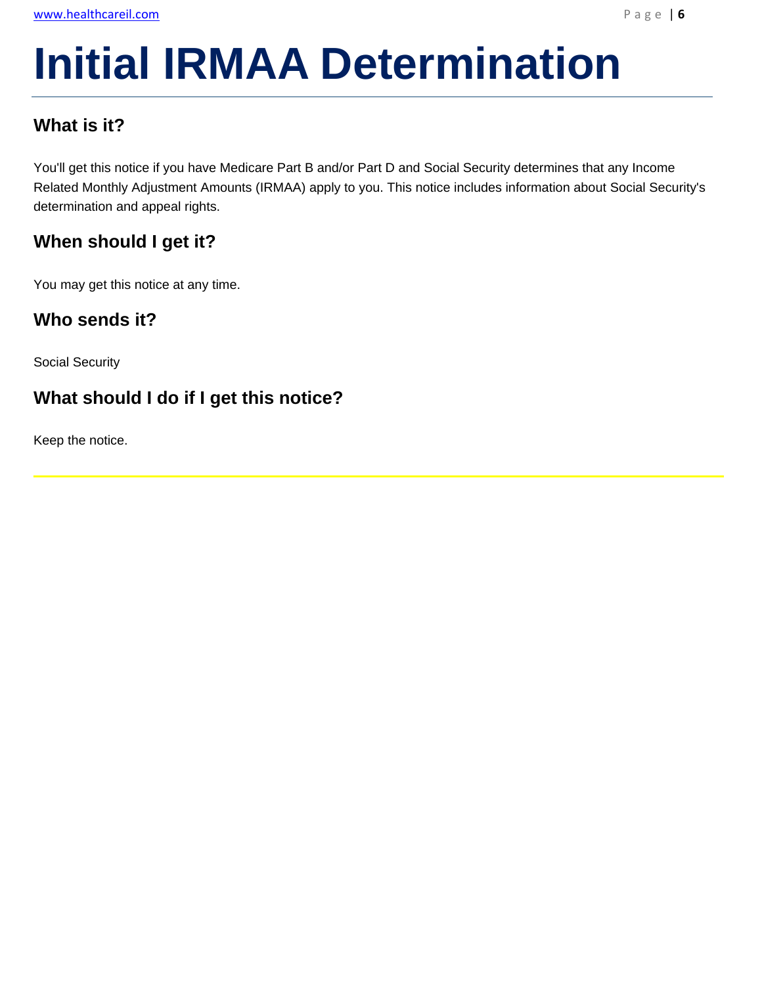# **Initial IRMAA Determination**

### **What is it?**

You'll get this notice if you have Medicare Part B and/or Part D and Social Security determines that any Income Related Monthly Adjustment Amounts (IRMAA) apply to you. This notice includes information about Social Security's determination and appeal rights.

### **When should I get it?**

You may get this notice at any time.

### **Who sends it?**

Social Security

### **What should I do if I get this notice?**

Keep the notice.

l,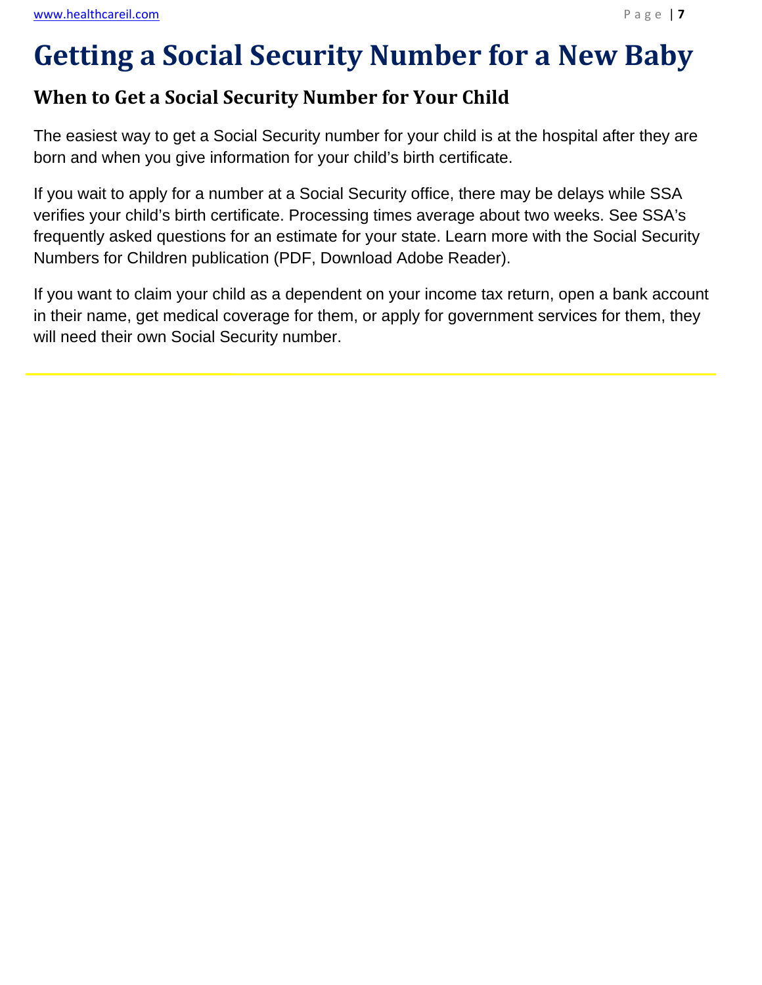$\overline{a}$ 

# **Getting a Social Security Number for a New Baby**

### **When to Get a Social Security Number for Your Child**

The easiest way to get a Social Security number for your child is at the hospital after they are born and when you give information for your child's birth certificate.

If you wait to apply for a number at a Social Security office, there may be delays while SSA verifies your child's birth certificate. Processing times average about two weeks. See SSA's frequently asked questions for an estimate for your state. Learn more with the Social Security Numbers for Children publication (PDF, Download Adobe Reader).

If you want to claim your child as a dependent on your income tax return, open a bank account in their name, get medical coverage for them, or apply for government services for them, they will need their own Social Security number.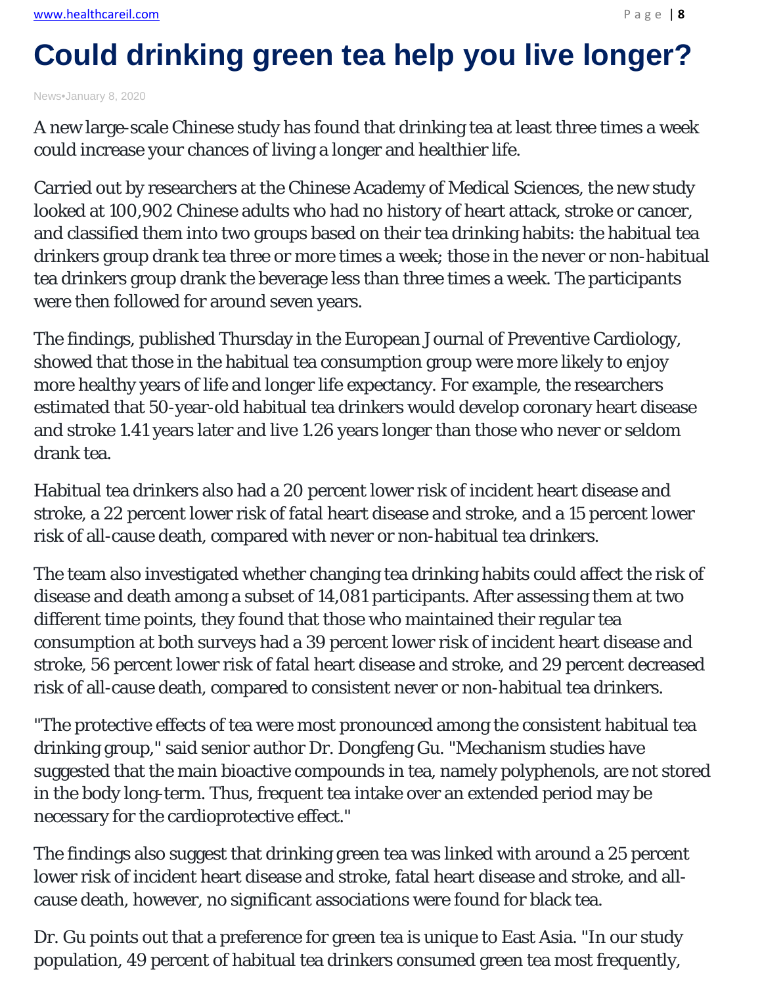# **Could drinking green tea help you live longer?**

News•January 8, 2020

A new large-scale Chinese study has found that drinking tea at least three times a week could increase your chances of living a longer and healthier life.

Carried out by researchers at the Chinese Academy of Medical Sciences, the new study looked at 100,902 Chinese adults who had no history of heart attack, stroke or cancer, and classified them into two groups based on their tea drinking habits: the habitual tea drinkers group drank tea three or more times a week; those in the never or non-habitual tea drinkers group drank the beverage less than three times a week. The participants were then followed for around seven years.

The findings, published Thursday in the European Journal of Preventive Cardiology, showed that those in the habitual tea consumption group were more likely to enjoy more healthy years of life and longer life expectancy. For example, the researchers estimated that 50-year-old habitual tea drinkers would develop coronary heart disease and stroke 1.41 years later and live 1.26 years longer than those who never or seldom drank tea.

Habitual tea drinkers also had a 20 percent lower risk of incident heart disease and stroke, a 22 percent lower risk of fatal heart disease and stroke, and a 15 percent lower risk of all-cause death, compared with never or non-habitual tea drinkers.

The team also investigated whether changing tea drinking habits could affect the risk of disease and death among a subset of 14,081 participants. After assessing them at two different time points, they found that those who maintained their regular tea consumption at both surveys had a 39 percent lower risk of incident heart disease and stroke, 56 percent lower risk of fatal heart disease and stroke, and 29 percent decreased risk of all-cause death, compared to consistent never or non-habitual tea drinkers.

"The protective effects of tea were most pronounced among the consistent habitual tea drinking group," said senior author Dr. Dongfeng Gu. "Mechanism studies have suggested that the main bioactive compounds in tea, namely polyphenols, are not stored in the body long-term. Thus, frequent tea intake over an extended period may be necessary for the cardioprotective effect."

The findings also suggest that drinking green tea was linked with around a 25 percent lower risk of incident heart disease and stroke, fatal heart disease and stroke, and allcause death, however, no significant associations were found for black tea.

Dr. Gu points out that a preference for green tea is unique to East Asia. "In our study population, 49 percent of habitual tea drinkers consumed green tea most frequently,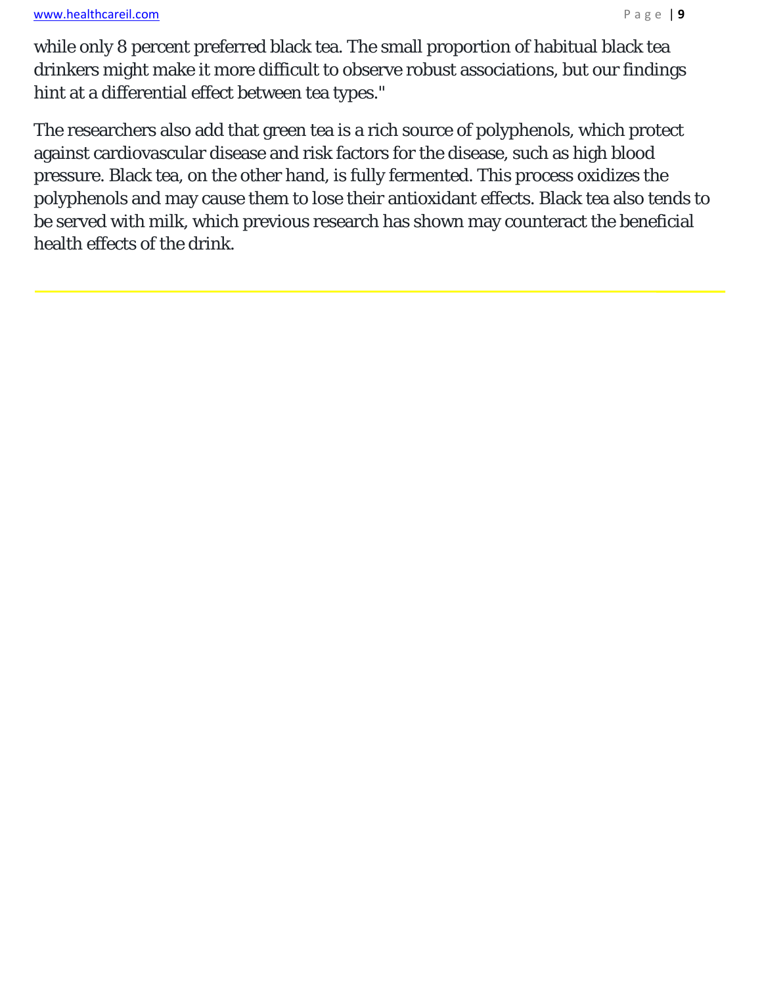while only 8 percent preferred black tea. The small proportion of habitual black tea drinkers might make it more difficult to observe robust associations, but our findings hint at a differential effect between tea types."

The researchers also add that green tea is a rich source of polyphenols, which protect against cardiovascular disease and risk factors for the disease, such as high blood pressure. Black tea, on the other hand, is fully fermented. This process oxidizes the polyphenols and may cause them to lose their antioxidant effects. Black tea also tends to be served with milk, which previous research has shown may counteract the beneficial health effects of the drink.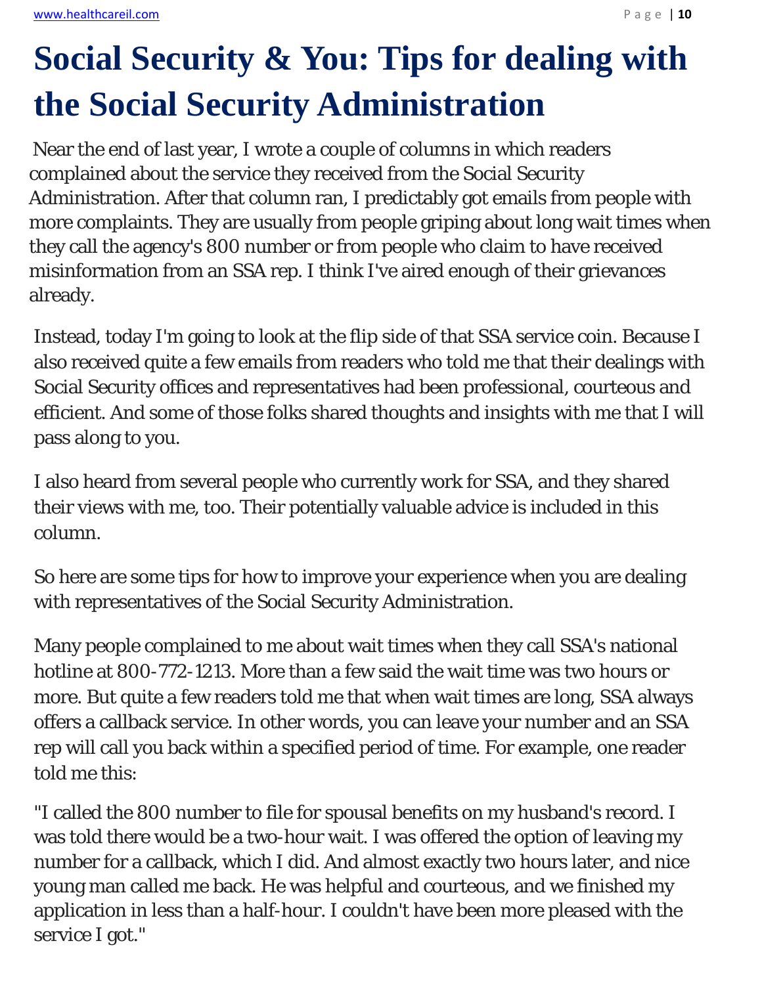# **Social Security & You: Tips for dealing with the Social Security Administration**

Near the end of last year, I wrote a couple of columns in which readers complained about the service they received from the Social Security Administration. After that column ran, I predictably got emails from people with more complaints. They are usually from people griping about long wait times when they call the agency's 800 number or from people who claim to have received misinformation from an SSA rep. I think I've aired enough of their grievances already.

Instead, today I'm going to look at the flip side of that SSA service coin. Because I also received quite a few emails from readers who told me that their dealings with Social Security offices and representatives had been professional, courteous and efficient. And some of those folks shared thoughts and insights with me that I will pass along to you.

I also heard from several people who currently work for SSA, and they shared their views with me, too. Their potentially valuable advice is included in this column.

So here are some tips for how to improve your experience when you are dealing with representatives of the Social Security Administration.

Many people complained to me about wait times when they call SSA's national hotline at 800-772-1213. More than a few said the wait time was two hours or more. But quite a few readers told me that when wait times are long, SSA always offers a callback service. In other words, you can leave your number and an SSA rep will call you back within a specified period of time. For example, one reader told me this:

"I called the 800 number to file for spousal benefits on my husband's record. I was told there would be a two-hour wait. I was offered the option of leaving my number for a callback, which I did. And almost exactly two hours later, and nice young man called me back. He was helpful and courteous, and we finished my application in less than a half-hour. I couldn't have been more pleased with the service I got."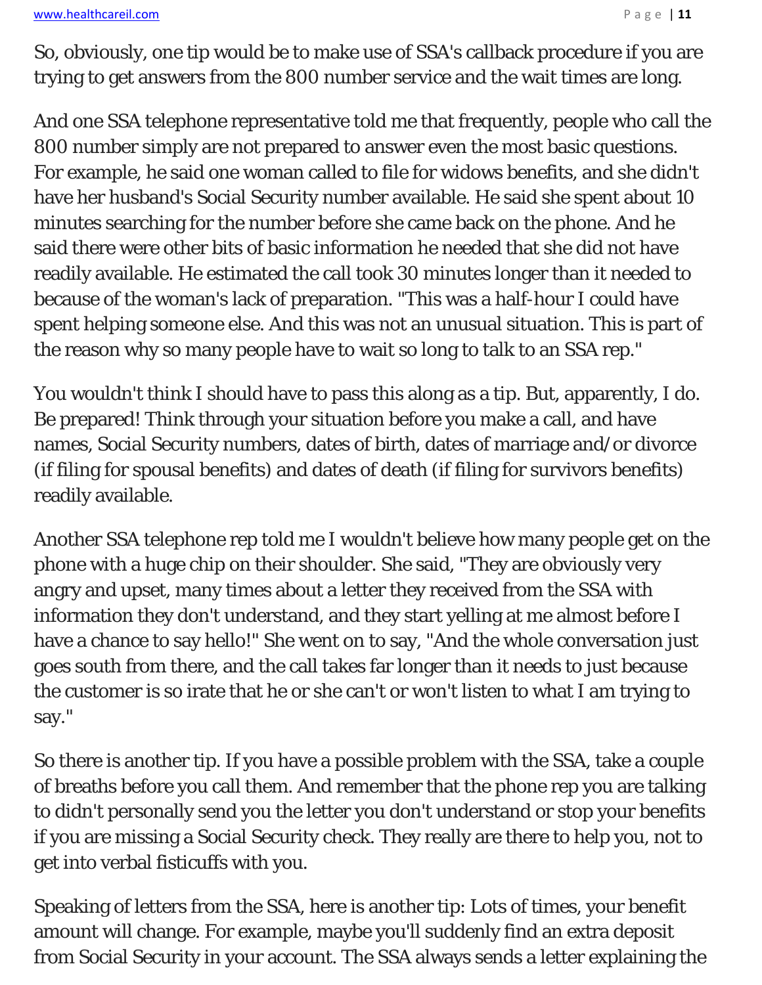www.healthcareil.com **blue and the set of the set of the set of the set of the set of the set of the set of the set of the set of the set of the set of the set of the set of the set of the set of the set of the set of the** 

So, obviously, one tip would be to make use of SSA's callback procedure if you are trying to get answers from the 800 number service and the wait times are long.

And one SSA telephone representative told me that frequently, people who call the 800 number simply are not prepared to answer even the most basic questions. For example, he said one woman called to file for widows benefits, and she didn't have her husband's Social Security number available. He said she spent about 10 minutes searching for the number before she came back on the phone. And he said there were other bits of basic information he needed that she did not have readily available. He estimated the call took 30 minutes longer than it needed to because of the woman's lack of preparation. "This was a half-hour I could have spent helping someone else. And this was not an unusual situation. This is part of the reason why so many people have to wait so long to talk to an SSA rep."

You wouldn't think I should have to pass this along as a tip. But, apparently, I do. Be prepared! Think through your situation before you make a call, and have names, Social Security numbers, dates of birth, dates of marriage and/or divorce (if filing for spousal benefits) and dates of death (if filing for survivors benefits) readily available.

Another SSA telephone rep told me I wouldn't believe how many people get on the phone with a huge chip on their shoulder. She said, "They are obviously very angry and upset, many times about a letter they received from the SSA with information they don't understand, and they start yelling at me almost before I have a chance to say hello!" She went on to say, "And the whole conversation just goes south from there, and the call takes far longer than it needs to just because the customer is so irate that he or she can't or won't listen to what I am trying to say."

So there is another tip. If you have a possible problem with the SSA, take a couple of breaths before you call them. And remember that the phone rep you are talking to didn't personally send you the letter you don't understand or stop your benefits if you are missing a Social Security check. They really are there to help you, not to get into verbal fisticuffs with you.

Speaking of letters from the SSA, here is another tip: Lots of times, your benefit amount will change. For example, maybe you'll suddenly find an extra deposit from Social Security in your account. The SSA always sends a letter explaining the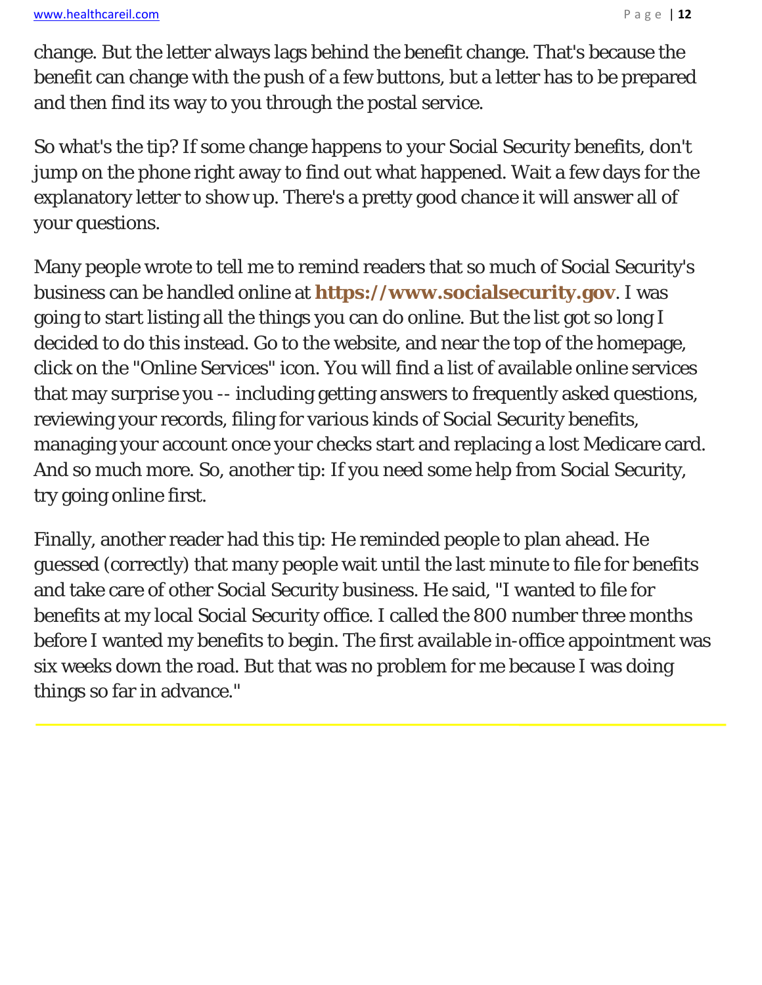www.healthcareil.com **blue and the set of the set of the set of the set of the set of the set of the set of the set of the set of the set of the set of the set of the set of the set of the set of the set of the set of the** 

change. But the letter always lags behind the benefit change. That's because the benefit can change with the push of a few buttons, but a letter has to be prepared and then find its way to you through the postal service.

So what's the tip? If some change happens to your Social Security benefits, don't jump on the phone right away to find out what happened. Wait a few days for the explanatory letter to show up. There's a pretty good chance it will answer all of your questions.

Many people wrote to tell me to remind readers that so much of Social Security's business can be handled online at **https://www.socialsecurity.gov**. I was going to start listing all the things you can do online. But the list got so long I decided to do this instead. Go to the website, and near the top of the homepage, click on the "Online Services" icon. You will find a list of available online services that may surprise you -- including getting answers to frequently asked questions, reviewing your records, filing for various kinds of Social Security benefits, managing your account once your checks start and replacing a lost Medicare card. And so much more. So, another tip: If you need some help from Social Security, try going online first.

Finally, another reader had this tip: He reminded people to plan ahead. He guessed (correctly) that many people wait until the last minute to file for benefits and take care of other Social Security business. He said, "I wanted to file for benefits at my local Social Security office. I called the 800 number three months before I wanted my benefits to begin. The first available in-office appointment was six weeks down the road. But that was no problem for me because I was doing things so far in advance."